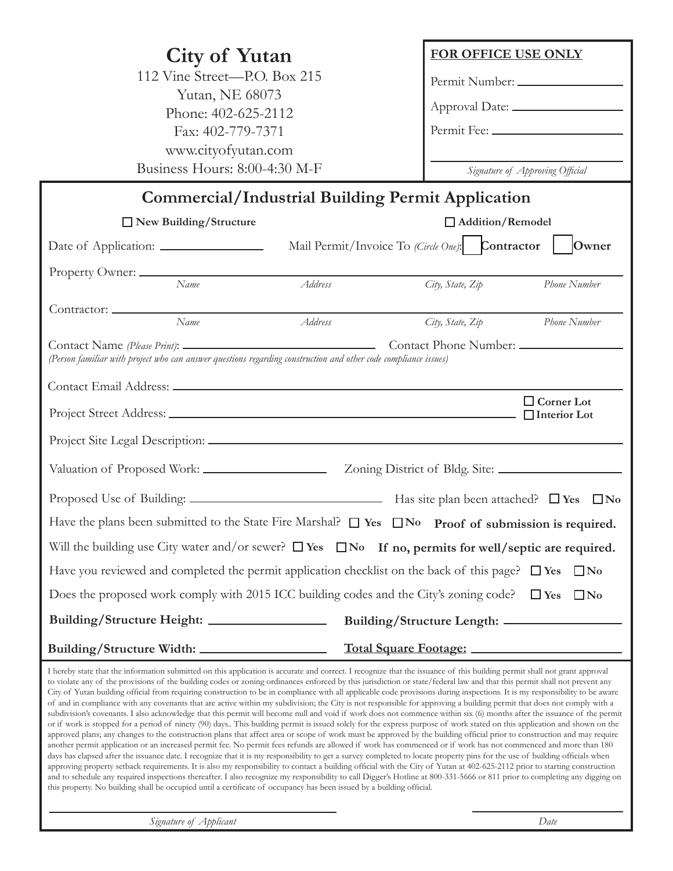| <b>City of Yutan</b>                                                                                                                                                                                                                                                                                                                                                                                                                                                                                                                                                                                                                                                                                                                                                                                                                                                                                                                                                                                                                                                                                                                                                                                                                                                                                                                                                                                                                                                                                                                                                                                                                                                                                                                                                                                                                                                                                                                                                                                                                                                                    | <b>FOR OFFICE USE ONLY</b>               |
|-----------------------------------------------------------------------------------------------------------------------------------------------------------------------------------------------------------------------------------------------------------------------------------------------------------------------------------------------------------------------------------------------------------------------------------------------------------------------------------------------------------------------------------------------------------------------------------------------------------------------------------------------------------------------------------------------------------------------------------------------------------------------------------------------------------------------------------------------------------------------------------------------------------------------------------------------------------------------------------------------------------------------------------------------------------------------------------------------------------------------------------------------------------------------------------------------------------------------------------------------------------------------------------------------------------------------------------------------------------------------------------------------------------------------------------------------------------------------------------------------------------------------------------------------------------------------------------------------------------------------------------------------------------------------------------------------------------------------------------------------------------------------------------------------------------------------------------------------------------------------------------------------------------------------------------------------------------------------------------------------------------------------------------------------------------------------------------------|------------------------------------------|
| 112 Vine Street-P.O. Box 215                                                                                                                                                                                                                                                                                                                                                                                                                                                                                                                                                                                                                                                                                                                                                                                                                                                                                                                                                                                                                                                                                                                                                                                                                                                                                                                                                                                                                                                                                                                                                                                                                                                                                                                                                                                                                                                                                                                                                                                                                                                            | Permit Number:                           |
| Yutan, NE 68073<br>Phone: 402-625-2112                                                                                                                                                                                                                                                                                                                                                                                                                                                                                                                                                                                                                                                                                                                                                                                                                                                                                                                                                                                                                                                                                                                                                                                                                                                                                                                                                                                                                                                                                                                                                                                                                                                                                                                                                                                                                                                                                                                                                                                                                                                  |                                          |
| Fax: 402-779-7371                                                                                                                                                                                                                                                                                                                                                                                                                                                                                                                                                                                                                                                                                                                                                                                                                                                                                                                                                                                                                                                                                                                                                                                                                                                                                                                                                                                                                                                                                                                                                                                                                                                                                                                                                                                                                                                                                                                                                                                                                                                                       | Permit Fee:                              |
| www.cityofyutan.com                                                                                                                                                                                                                                                                                                                                                                                                                                                                                                                                                                                                                                                                                                                                                                                                                                                                                                                                                                                                                                                                                                                                                                                                                                                                                                                                                                                                                                                                                                                                                                                                                                                                                                                                                                                                                                                                                                                                                                                                                                                                     |                                          |
| Business Hours: 8:00-4:30 M-F                                                                                                                                                                                                                                                                                                                                                                                                                                                                                                                                                                                                                                                                                                                                                                                                                                                                                                                                                                                                                                                                                                                                                                                                                                                                                                                                                                                                                                                                                                                                                                                                                                                                                                                                                                                                                                                                                                                                                                                                                                                           | Signature of Approving Official          |
| <b>Commercial/Industrial Building Permit Application</b>                                                                                                                                                                                                                                                                                                                                                                                                                                                                                                                                                                                                                                                                                                                                                                                                                                                                                                                                                                                                                                                                                                                                                                                                                                                                                                                                                                                                                                                                                                                                                                                                                                                                                                                                                                                                                                                                                                                                                                                                                                |                                          |
| $\Box$ New Building/Structure                                                                                                                                                                                                                                                                                                                                                                                                                                                                                                                                                                                                                                                                                                                                                                                                                                                                                                                                                                                                                                                                                                                                                                                                                                                                                                                                                                                                                                                                                                                                                                                                                                                                                                                                                                                                                                                                                                                                                                                                                                                           | Addition/Remodel                         |
| Mail Permit/Invoice To (Circle One): Contractor                                                                                                                                                                                                                                                                                                                                                                                                                                                                                                                                                                                                                                                                                                                                                                                                                                                                                                                                                                                                                                                                                                                                                                                                                                                                                                                                                                                                                                                                                                                                                                                                                                                                                                                                                                                                                                                                                                                                                                                                                                         | Owner                                    |
|                                                                                                                                                                                                                                                                                                                                                                                                                                                                                                                                                                                                                                                                                                                                                                                                                                                                                                                                                                                                                                                                                                                                                                                                                                                                                                                                                                                                                                                                                                                                                                                                                                                                                                                                                                                                                                                                                                                                                                                                                                                                                         |                                          |
| Name<br>Address                                                                                                                                                                                                                                                                                                                                                                                                                                                                                                                                                                                                                                                                                                                                                                                                                                                                                                                                                                                                                                                                                                                                                                                                                                                                                                                                                                                                                                                                                                                                                                                                                                                                                                                                                                                                                                                                                                                                                                                                                                                                         | Phone Number<br>City, State, Zip         |
|                                                                                                                                                                                                                                                                                                                                                                                                                                                                                                                                                                                                                                                                                                                                                                                                                                                                                                                                                                                                                                                                                                                                                                                                                                                                                                                                                                                                                                                                                                                                                                                                                                                                                                                                                                                                                                                                                                                                                                                                                                                                                         |                                          |
| Name<br>Address                                                                                                                                                                                                                                                                                                                                                                                                                                                                                                                                                                                                                                                                                                                                                                                                                                                                                                                                                                                                                                                                                                                                                                                                                                                                                                                                                                                                                                                                                                                                                                                                                                                                                                                                                                                                                                                                                                                                                                                                                                                                         | City, State, Zip<br>Phone Number         |
|                                                                                                                                                                                                                                                                                                                                                                                                                                                                                                                                                                                                                                                                                                                                                                                                                                                                                                                                                                                                                                                                                                                                                                                                                                                                                                                                                                                                                                                                                                                                                                                                                                                                                                                                                                                                                                                                                                                                                                                                                                                                                         |                                          |
| (Person familiar with project who can answer questions regarding construction and other code compliance issues)                                                                                                                                                                                                                                                                                                                                                                                                                                                                                                                                                                                                                                                                                                                                                                                                                                                                                                                                                                                                                                                                                                                                                                                                                                                                                                                                                                                                                                                                                                                                                                                                                                                                                                                                                                                                                                                                                                                                                                         |                                          |
|                                                                                                                                                                                                                                                                                                                                                                                                                                                                                                                                                                                                                                                                                                                                                                                                                                                                                                                                                                                                                                                                                                                                                                                                                                                                                                                                                                                                                                                                                                                                                                                                                                                                                                                                                                                                                                                                                                                                                                                                                                                                                         |                                          |
|                                                                                                                                                                                                                                                                                                                                                                                                                                                                                                                                                                                                                                                                                                                                                                                                                                                                                                                                                                                                                                                                                                                                                                                                                                                                                                                                                                                                                                                                                                                                                                                                                                                                                                                                                                                                                                                                                                                                                                                                                                                                                         | $\Box$ Corner Lot<br>$\Box$ Interior Lot |
|                                                                                                                                                                                                                                                                                                                                                                                                                                                                                                                                                                                                                                                                                                                                                                                                                                                                                                                                                                                                                                                                                                                                                                                                                                                                                                                                                                                                                                                                                                                                                                                                                                                                                                                                                                                                                                                                                                                                                                                                                                                                                         |                                          |
|                                                                                                                                                                                                                                                                                                                                                                                                                                                                                                                                                                                                                                                                                                                                                                                                                                                                                                                                                                                                                                                                                                                                                                                                                                                                                                                                                                                                                                                                                                                                                                                                                                                                                                                                                                                                                                                                                                                                                                                                                                                                                         |                                          |
|                                                                                                                                                                                                                                                                                                                                                                                                                                                                                                                                                                                                                                                                                                                                                                                                                                                                                                                                                                                                                                                                                                                                                                                                                                                                                                                                                                                                                                                                                                                                                                                                                                                                                                                                                                                                                                                                                                                                                                                                                                                                                         |                                          |
| Have the plans been submitted to the State Fire Marshal? $\Box$ Yes $\Box$ No Proof of submission is required.                                                                                                                                                                                                                                                                                                                                                                                                                                                                                                                                                                                                                                                                                                                                                                                                                                                                                                                                                                                                                                                                                                                                                                                                                                                                                                                                                                                                                                                                                                                                                                                                                                                                                                                                                                                                                                                                                                                                                                          |                                          |
| Will the building use City water and/or sewer? $\Box$ Yes $\Box$ No If no, permits for well/septic are required.                                                                                                                                                                                                                                                                                                                                                                                                                                                                                                                                                                                                                                                                                                                                                                                                                                                                                                                                                                                                                                                                                                                                                                                                                                                                                                                                                                                                                                                                                                                                                                                                                                                                                                                                                                                                                                                                                                                                                                        |                                          |
| Have you reviewed and completed the permit application checklist on the back of this page?                                                                                                                                                                                                                                                                                                                                                                                                                                                                                                                                                                                                                                                                                                                                                                                                                                                                                                                                                                                                                                                                                                                                                                                                                                                                                                                                                                                                                                                                                                                                                                                                                                                                                                                                                                                                                                                                                                                                                                                              | $\Box$ No<br>$\Box$ Yes                  |
| Does the proposed work comply with 2015 ICC building codes and the City's zoning code?                                                                                                                                                                                                                                                                                                                                                                                                                                                                                                                                                                                                                                                                                                                                                                                                                                                                                                                                                                                                                                                                                                                                                                                                                                                                                                                                                                                                                                                                                                                                                                                                                                                                                                                                                                                                                                                                                                                                                                                                  | $\Box$ Yes<br>$\square$ No               |
|                                                                                                                                                                                                                                                                                                                                                                                                                                                                                                                                                                                                                                                                                                                                                                                                                                                                                                                                                                                                                                                                                                                                                                                                                                                                                                                                                                                                                                                                                                                                                                                                                                                                                                                                                                                                                                                                                                                                                                                                                                                                                         |                                          |
|                                                                                                                                                                                                                                                                                                                                                                                                                                                                                                                                                                                                                                                                                                                                                                                                                                                                                                                                                                                                                                                                                                                                                                                                                                                                                                                                                                                                                                                                                                                                                                                                                                                                                                                                                                                                                                                                                                                                                                                                                                                                                         |                                          |
| I hereby state that the information submitted on this application is accurate and correct. I recognize that the issuance of this building permit shall not grant approval<br>to violate any of the provisions of the building codes or zoning ordinances enforced by this jurisdiction or state/federal law and that this permit shall not prevent any<br>City of Yutan building official from requiring construction to be in compliance with all applicable code provisions during inspections. It is my responsibility to be aware<br>of and in compliance with any covenants that are active within my subdivision; the City is not responsible for approving a building permit that does not comply with a<br>subdivision's covenants. I also acknowledge that this permit will become null and void if work does not commence within six (6) months after the issuance of the permit<br>or if work is stopped for a period of ninety (90) days This building permit is issued solely for the express purpose of work stated on this application and shown on the<br>approved plans; any changes to the construction plans that affect area or scope of work must be approved by the building official prior to construction and may require<br>another permit application or an increased permit fee. No permit fees refunds are allowed if work has commenced or if work has not commenced and more than 180<br>days has elapsed after the issuance date. I recognize that it is my responsibility to get a survey completed to locate property pins for the use of building officials when<br>approving property setback requirements. It is also my responsibility to contact a building official with the City of Yutan at 402-625-2112 prior to starting construction<br>and to schedule any required inspections thereafter. I also recognize my responsibility to call Digger's Hotline at 800-331-5666 or 811 prior to completing any digging on<br>this property. No building shall be occupied until a certificate of occupancy has been issued by a building official. |                                          |

*Signature of Applicant Date*